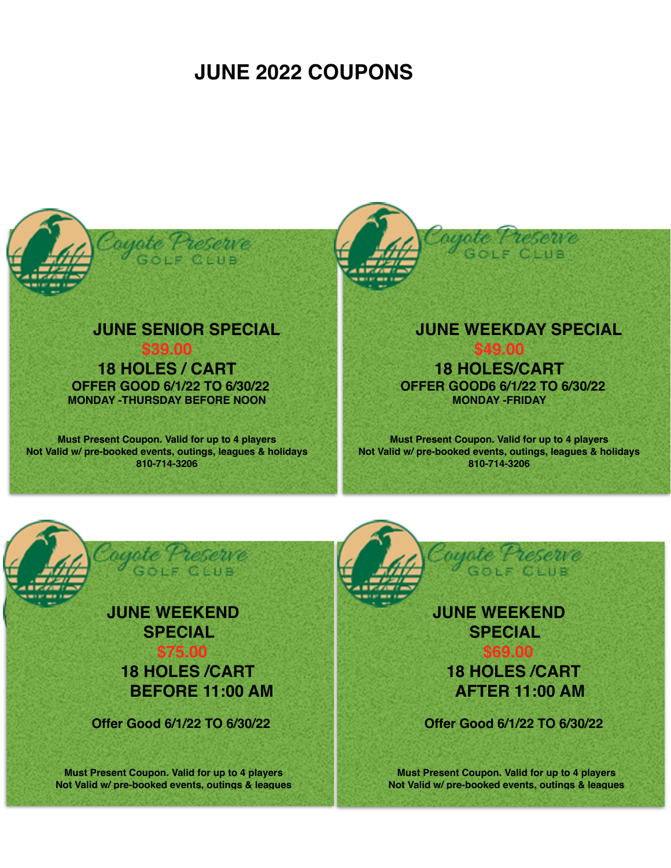## **JUNE 2022 COUPONS**

### **JUNE SENIOR SPECIAL**

**18 HOLES / CART OFFER GOOD 6/1/22 TO 6/30/22 MONDAY -THURSDAY BEFORE NOON**

**\$39.00**

**Must Present Coupon. Valid for up to 4 players Not Valid w/ pre-booked events, outings, leagues & holidays 810-714-3206**

#### **JUNE WEEKDAY SPECIAL**

 $CLMB$ 

**18 HOLES/CART OFFER GOOD6 6/1/22 TO 6/30/22 MONDAY -FRIDAY** 

**\$49.00**

**Must Present Coupon. Valid for up to 4 players Not Valid w/ pre-booked events, outings, leagues & holidays 810-714-3206**

### **JUNE WEEKEND SPECIAL**

 **\$75.00**

 **18 HOLES /CART BEFORE 11:00 AM**

 *for*  $I$  *is*  $R$ 

 **Offer Good 6/1/22 TO 6/30/22**

**Must Present Coupon. Valid for up to 4 players Not Valid w/ pre-booked events, outings & leagues**  **JUNE WEEKEND SPECIAL**

 **18 HOLES /CART AFTER 11:00 AM**

GLUB

 **\$69.00**

 **Offer Good 6/1/22 TO 6/30/22**

**Must Present Coupon. Valid for up to 4 players Not Valid w/ pre-booked events, outings & leagues**